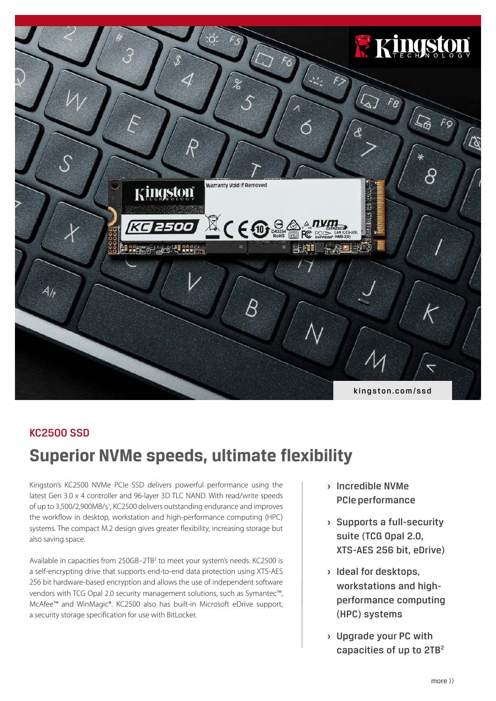

# KC2500 SSD

# **Superior NVMe speeds, ultimate flexibility**

Kingston's KC2500 NVMe PCIe SSD delivers powerful performance using the latest Gen 3.0 x 4 controller and 96-layer 3D TLC NAND. With read/write speeds of up to 3,500/2,900MB/s<sup>1</sup>, KC2500 delivers outstanding endurance and improves the workflow in desktop, workstation and high-performance computing (HPC) systems. The compact M.2 design gives greater flexibility, increasing storage but also saving space.

Available in capacities from 250GB-2TB<sup>2</sup> to meet your system's needs. KC2500 is a self-encrypting drive that supports end-to-end data protection using XTS-AES 256 bit hardware-based encryption and allows the use of independent software vendors with TCG Opal 2.0 security management solutions, such as Symantec™, McAfee™ and WinMagic®. KC2500 also has built-in Microsoft eDrive support, a security storage specification for use with BitLocker.

- **›** Incredible NVMe PCIe performance
- **›** Supports a full-security suite (TCG Opal 2.0, XTS-AES 256 bit, eDrive)
- **›** Ideal for desktops, workstations and highperformance computing (HPC) systems
- **›** Upgrade your PC with capacities of up to 2TB<sup>2</sup>